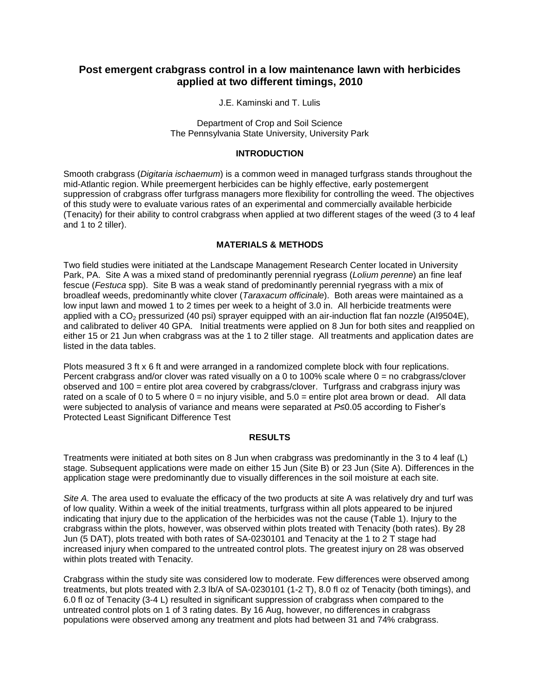# **Post emergent crabgrass control in a low maintenance lawn with herbicides applied at two different timings, 2010**

J.E. Kaminski and T. Lulis

Department of Crop and Soil Science The Pennsylvania State University, University Park

### **INTRODUCTION**

Smooth crabgrass (*Digitaria ischaemum*) is a common weed in managed turfgrass stands throughout the mid-Atlantic region. While preemergent herbicides can be highly effective, early postemergent suppression of crabgrass offer turfgrass managers more flexibility for controlling the weed. The objectives of this study were to evaluate various rates of an experimental and commercially available herbicide (Tenacity) for their ability to control crabgrass when applied at two different stages of the weed (3 to 4 leaf and 1 to 2 tiller).

## **MATERIALS & METHODS**

Two field studies were initiated at the Landscape Management Research Center located in University Park, PA. Site A was a mixed stand of predominantly perennial ryegrass (*Lolium perenne*) an fine leaf fescue (*Festuca* spp). Site B was a weak stand of predominantly perennial ryegrass with a mix of broadleaf weeds, predominantly white clover (*Taraxacum officinale*). Both areas were maintained as a low input lawn and mowed 1 to 2 times per week to a height of 3.0 in. All herbicide treatments were applied with a  $CO<sub>2</sub>$  pressurized (40 psi) sprayer equipped with an air-induction flat fan nozzle (AI9504E), and calibrated to deliver 40 GPA. Initial treatments were applied on 8 Jun for both sites and reapplied on either 15 or 21 Jun when crabgrass was at the 1 to 2 tiller stage. All treatments and application dates are listed in the data tables.

Plots measured 3 ft x 6 ft and were arranged in a randomized complete block with four replications. Percent crabgrass and/or clover was rated visually on a 0 to 100% scale where  $0 =$  no crabgrass/clover observed and 100 = entire plot area covered by crabgrass/clover. Turfgrass and crabgrass injury was rated on a scale of 0 to 5 where  $0 =$  no injury visible, and  $5.0 =$  entire plot area brown or dead. All data were subjected to analysis of variance and means were separated at *P*≤0.05 according to Fisher's Protected Least Significant Difference Test

### **RESULTS**

Treatments were initiated at both sites on 8 Jun when crabgrass was predominantly in the 3 to 4 leaf (L) stage. Subsequent applications were made on either 15 Jun (Site B) or 23 Jun (Site A). Differences in the application stage were predominantly due to visually differences in the soil moisture at each site.

*Site A.* The area used to evaluate the efficacy of the two products at site A was relatively dry and turf was of low quality. Within a week of the initial treatments, turfgrass within all plots appeared to be injured indicating that injury due to the application of the herbicides was not the cause (Table 1). Injury to the crabgrass within the plots, however, was observed within plots treated with Tenacity (both rates). By 28 Jun (5 DAT), plots treated with both rates of SA-0230101 and Tenacity at the 1 to 2 T stage had increased injury when compared to the untreated control plots. The greatest injury on 28 was observed within plots treated with Tenacity.

Crabgrass within the study site was considered low to moderate. Few differences were observed among treatments, but plots treated with 2.3 lb/A of SA-0230101 (1-2 T), 8.0 fl oz of Tenacity (both timings), and 6.0 fl oz of Tenacity (3-4 L) resulted in significant suppression of crabgrass when compared to the untreated control plots on 1 of 3 rating dates. By 16 Aug, however, no differences in crabgrass populations were observed among any treatment and plots had between 31 and 74% crabgrass.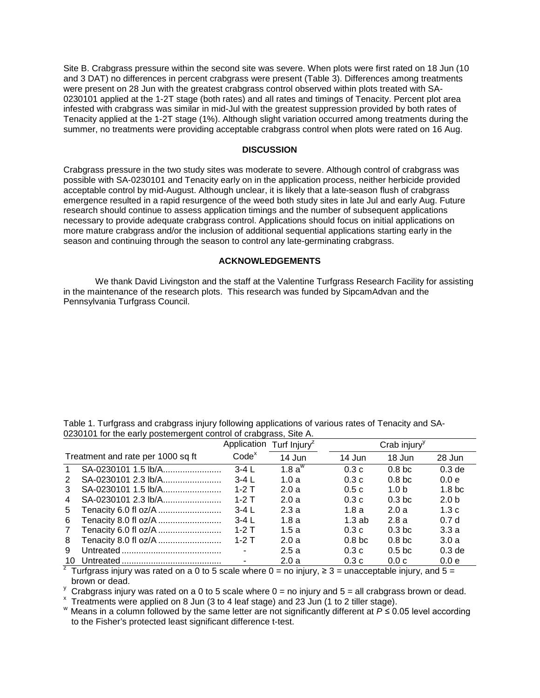Site B. Crabgrass pressure within the second site was severe. When plots were first rated on 18 Jun (10 and 3 DAT) no differences in percent crabgrass were present (Table 3). Differences among treatments were present on 28 Jun with the greatest crabgrass control observed within plots treated with SA-0230101 applied at the 1-2T stage (both rates) and all rates and timings of Tenacity. Percent plot area infested with crabgrass was similar in mid-Jul with the greatest suppression provided by both rates of Tenacity applied at the 1-2T stage (1%). Although slight variation occurred among treatments during the summer, no treatments were providing acceptable crabgrass control when plots were rated on 16 Aug.

#### **DISCUSSION**

Crabgrass pressure in the two study sites was moderate to severe. Although control of crabgrass was possible with SA-0230101 and Tenacity early on in the application process, neither herbicide provided acceptable control by mid-August. Although unclear, it is likely that a late-season flush of crabgrass emergence resulted in a rapid resurgence of the weed both study sites in late Jul and early Aug. Future research should continue to assess application timings and the number of subsequent applications necessary to provide adequate crabgrass control. Applications should focus on initial applications on more mature crabgrass and/or the inclusion of additional sequential applications starting early in the season and continuing through the season to control any late-germinating crabgrass.

## **ACKNOWLEDGEMENTS**

We thank David Livingston and the staff at the Valentine Turfgrass Research Facility for assisting in the maintenance of the research plots. This research was funded by SipcamAdvan and the Pennsylvania Turfgrass Council.

| 0230101 for the early postemergent control of crabgrass, Site A. |                      |                                      |           |                          |                  |                    |  |  |
|------------------------------------------------------------------|----------------------|--------------------------------------|-----------|--------------------------|------------------|--------------------|--|--|
|                                                                  |                      | Application Turf Injury <sup>z</sup> |           | Crab injury <sup>y</sup> |                  |                    |  |  |
| Treatment and rate per 1000 sq ft                                |                      | Code <sup>x</sup>                    | 14 Jun    | 14 Jun                   | 18 Jun           | 28 Jun             |  |  |
|                                                                  | SA-0230101 1.5 lb/A  | $3-4$ L                              | 1.8 $a^w$ | 0.3c                     | 0.8 <sub>b</sub> | 0.3 <sub>de</sub>  |  |  |
| $\mathcal{P}$                                                    | SA-0230101 2.3 lb/A  | $3-4$ L                              | 1.0a      | 0.3c                     | 0.8 <sub>b</sub> | 0.0e               |  |  |
| 3                                                                | SA-0230101 1.5 lb/A  | $1-2$ T                              | 2.0a      | 0.5c                     | 1.0 <sub>b</sub> | 1.8 <sub>b</sub> c |  |  |
| 4                                                                | SA-0230101 2.3 lb/A  | $1-2$ T                              | 2.0a      | 0.3c                     | 0.3 <sub>b</sub> | 2.0 <sub>b</sub>   |  |  |
| 5                                                                | Tenacity 6.0 fl oz/A | $3-4L$                               | 2.3a      | 1.8a                     | 2.0a             | 1.3c               |  |  |
| 6                                                                | Tenacity 8.0 fl oz/A | $3-4L$                               | 1.8a      | 1.3ab                    | 2.8a             | 0.7 <sub>d</sub>   |  |  |
| 7                                                                | Tenacity 6.0 fl oz/A | $1-2$ T                              | 1.5a      | 0.3c                     | 0.3 <sub>b</sub> | 3.3a               |  |  |
| 8                                                                | Tenacity 8.0 fl oz/A | $1-2$ T                              | 2.0a      | 0.8 <sub>b</sub>         | 0.8 <sub>b</sub> | 3.0a               |  |  |
| 9                                                                |                      |                                      | 2.5a      | 0.3c                     | 0.5 <sub>b</sub> | 0.3 <sub>de</sub>  |  |  |
| 10                                                               |                      |                                      | 2.0a      | 0.3c                     | 0.0c             | 0.0 <sub>e</sub>   |  |  |

Table 1. Turfgrass and crabgrass injury following applications of various rates of Tenacity and SA-

 $\frac{1}{2}$  Turfgrass injury was rated on a 0 to 5 scale where 0 = no injury, ≥ 3 = unacceptable injury, and 5 = brown or dead.<br><sup>y</sup> Crabgrass injury was rated on a 0 to 5 scale where 0 = no injury and 5 = all crabgrass brown or dead.

 $*$  Treatments were applied on 8 Jun (3 to 4 leaf stage) and 23 Jun (1 to 2 tiller stage).<br>Weans in a column followed by the same letter are not significantly different at  $P \le 0.05$  level according to the Fisher's protected least significant difference t-test.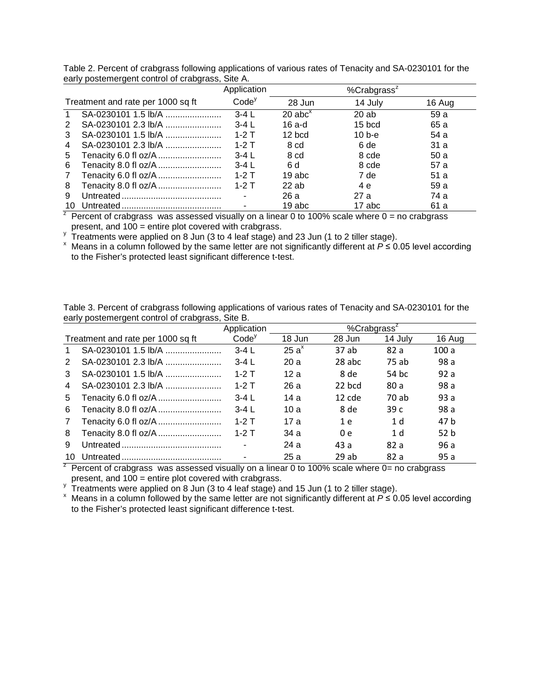|                |                                                                                                                                                                                                                                                                                                                                                     | Application              |                                    | % $Crabgrass^2$ |        |
|----------------|-----------------------------------------------------------------------------------------------------------------------------------------------------------------------------------------------------------------------------------------------------------------------------------------------------------------------------------------------------|--------------------------|------------------------------------|-----------------|--------|
|                | Treatment and rate per 1000 sq ft                                                                                                                                                                                                                                                                                                                   | Code <sup>y</sup>        | 28 Jun                             | 14 July         | 16 Aug |
|                | SA-0230101 1.5 lb/A                                                                                                                                                                                                                                                                                                                                 | $3-4L$                   | $20$ abc <sup><math>x</math></sup> | 20 ab           | 59 a   |
| 2              | SA-0230101 2.3 lb/A                                                                                                                                                                                                                                                                                                                                 | $3-4L$                   | 16 a-d                             | $15$ bcd        | 65 a   |
| 3              | SA-0230101 1.5 lb/A                                                                                                                                                                                                                                                                                                                                 | $1-2$ T                  | $12$ bcd                           | $10b-e$         | 54 a   |
| $\overline{4}$ | SA-0230101 2.3 lb/A                                                                                                                                                                                                                                                                                                                                 | $1-2$ T                  | 8 cd                               | 6 de            | 31 a   |
| 5              | Tenacity 6.0 fl oz/A                                                                                                                                                                                                                                                                                                                                | $3-4L$                   | 8 cd                               | 8 cde           | 50 a   |
| 6              | Tenacity 8.0 fl oz/A                                                                                                                                                                                                                                                                                                                                | $3-4L$                   | 6 d                                | 8 cde           | 57 a   |
| 7              | Tenacity 6.0 fl oz/A                                                                                                                                                                                                                                                                                                                                | $1-2$ T                  | $19$ abc                           | 7 de            | 51 a   |
| 8              | Tenacity 8.0 fl oz/A                                                                                                                                                                                                                                                                                                                                | $1-2$ T                  | $22$ ab                            | 4 e             | 59 a   |
| 9              |                                                                                                                                                                                                                                                                                                                                                     | $\overline{\phantom{a}}$ | 26 a                               | 27 a            | 74 a   |
| 10             | $\overline{z}$ , $\overline{z}$ , $\overline{z}$ , $\overline{z}$ , $\overline{z}$ , $\overline{z}$ , $\overline{z}$ , $\overline{z}$ , $\overline{z}$ , $\overline{z}$ , $\overline{z}$ , $\overline{z}$ , $\overline{z}$ , $\overline{z}$ , $\overline{z}$ , $\overline{z}$ , $\overline{z}$ , $\overline{z}$ , $\overline{z}$ , $\overline{z}$ , |                          | 19 abc                             | 17 abc          | 61 a   |

Table 2. Percent of crabgrass following applications of various rates of Tenacity and SA-0230101 for the early postemergent control of crabgrass, Site A.

Percent of crabgrass was assessed visually on a linear 0 to 100% scale where  $0 =$  no crabgrass present, and 100 = entire plot covered with crabgrass.<br>Treatments were applied on 8 Jun (3 to 4 leaf stage) and 23 Jun (1 to 2 tiller stage).

y Treatments were applied on 8 Jun (3 to 4 leaf stage) and 23 Jun (1 to 2 tiller stage).<br>x Means in a column followed by the same letter are not significantly different at *P* ≤ 0.05 level according to the Fisher's protected least significant difference t-test.

| early postemergent control of crabgrass, Site B. |                                   |                   |         |                 |                |                 |  |
|--------------------------------------------------|-----------------------------------|-------------------|---------|-----------------|----------------|-----------------|--|
|                                                  |                                   | Application       |         | % $Crabgrass^z$ |                |                 |  |
|                                                  | Treatment and rate per 1000 sq ft | Code <sup>y</sup> | 18 Jun  | 28 Jun          | 14 July        | 16 Aug          |  |
|                                                  | SA-0230101 1.5 lb/A               | $3-4L$            | $25a^x$ | 37 ab           | 82 a           | 100a            |  |
| 2                                                | SA-0230101 2.3 lb/A               | $3-4L$            | 20a     | 28 abc          | 75 ab          | 98 a            |  |
| 3                                                | SA-0230101 1.5 lb/A               | $1-2$ T           | 12a     | 8 de            | 54 bc          | 92a             |  |
| 4                                                | SA-0230101 2.3 lb/A               | $1-2$ T           | 26 a    | 22 bcd          | 80 a           | 98 a            |  |
| 5                                                | Tenacity 6.0 fl oz/A              | $3-4L$            | 14 a    | $12$ cde        | 70 ab          | 93a             |  |
| 6                                                | Tenacity 8.0 fl oz/A              | $3-4L$            | 10a     | 8 de            | 39c            | 98 a            |  |
| $\mathbf{7}$                                     | Tenacity 6.0 fl oz/A              | $1-2$ T           | 17 a    | 1 e             | 1 <sub>d</sub> | 47 b            |  |
| 8                                                | Tenacity 8.0 fl oz/A              | $1-2$ T           | 34 a    | 0e              | 1 <sub>d</sub> | 52 <sub>b</sub> |  |
| 9                                                |                                   |                   | 24a     | 43 a            | 82 a           | 96 a            |  |
| 10                                               |                                   |                   | 25a     | 29 ab           | 82 a           | 95a             |  |

Table 3. Percent of crabgrass following applications of various rates of Tenacity and SA-0230101 for the

 $\overline{z}$  Percent of crabgrass was assessed visually on a linear 0 to 100% scale where 0= no crabgrass

present, and 100 = entire plot covered with crabgrass.<br>  $\frac{y}{y}$  Treatments were applied on 8 Jun (3 to 4 leaf stage) and 15 Jun (1 to 2 tiller stage).

<sup>y</sup> Treatments were applied on 8 Jun (3 to 4 leaf stage) and 15 Jun (1 to 2 tiller stage). <sup>x</sup> Means in a column followed by the same letter are not significantly different at *<sup>P</sup>* ≤ 0.05 level according to the Fisher's protected least significant difference t-test.